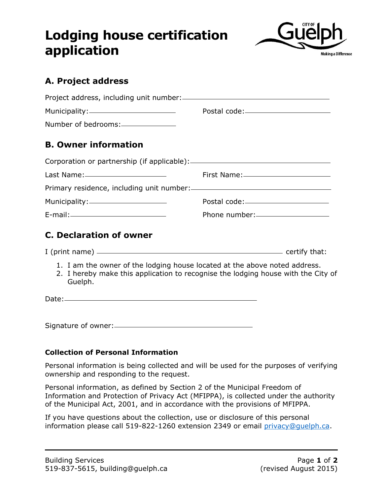## **Lodging house certification application**



## **A. Project address**

| Number of bedrooms:______________                                                                                                                                          |                                  |  |
|----------------------------------------------------------------------------------------------------------------------------------------------------------------------------|----------------------------------|--|
| <b>B. Owner information</b>                                                                                                                                                |                                  |  |
|                                                                                                                                                                            |                                  |  |
|                                                                                                                                                                            |                                  |  |
|                                                                                                                                                                            |                                  |  |
|                                                                                                                                                                            |                                  |  |
|                                                                                                                                                                            | Phone number:___________________ |  |
| <b>C. Declaration of owner</b>                                                                                                                                             |                                  |  |
|                                                                                                                                                                            |                                  |  |
| 1. I am the owner of the lodging house located at the above noted address.<br>2. I hereby make this application to recognise the lodging house with the City of<br>Guelph. |                                  |  |
|                                                                                                                                                                            |                                  |  |
|                                                                                                                                                                            |                                  |  |
|                                                                                                                                                                            |                                  |  |

## **Collection of Personal Information**

Personal information is being collected and will be used for the purposes of verifying ownership and responding to the request.

Personal information, as defined by Section 2 of the Municipal Freedom of Information and Protection of Privacy Act (MFIPPA), is collected under the authority of the Municipal Act, 2001, and in accordance with the provisions of MFIPPA.

If you have questions about the collection, use or disclosure of this personal information please call 519-822-1260 extension 2349 or email privacy@quelph.ca.